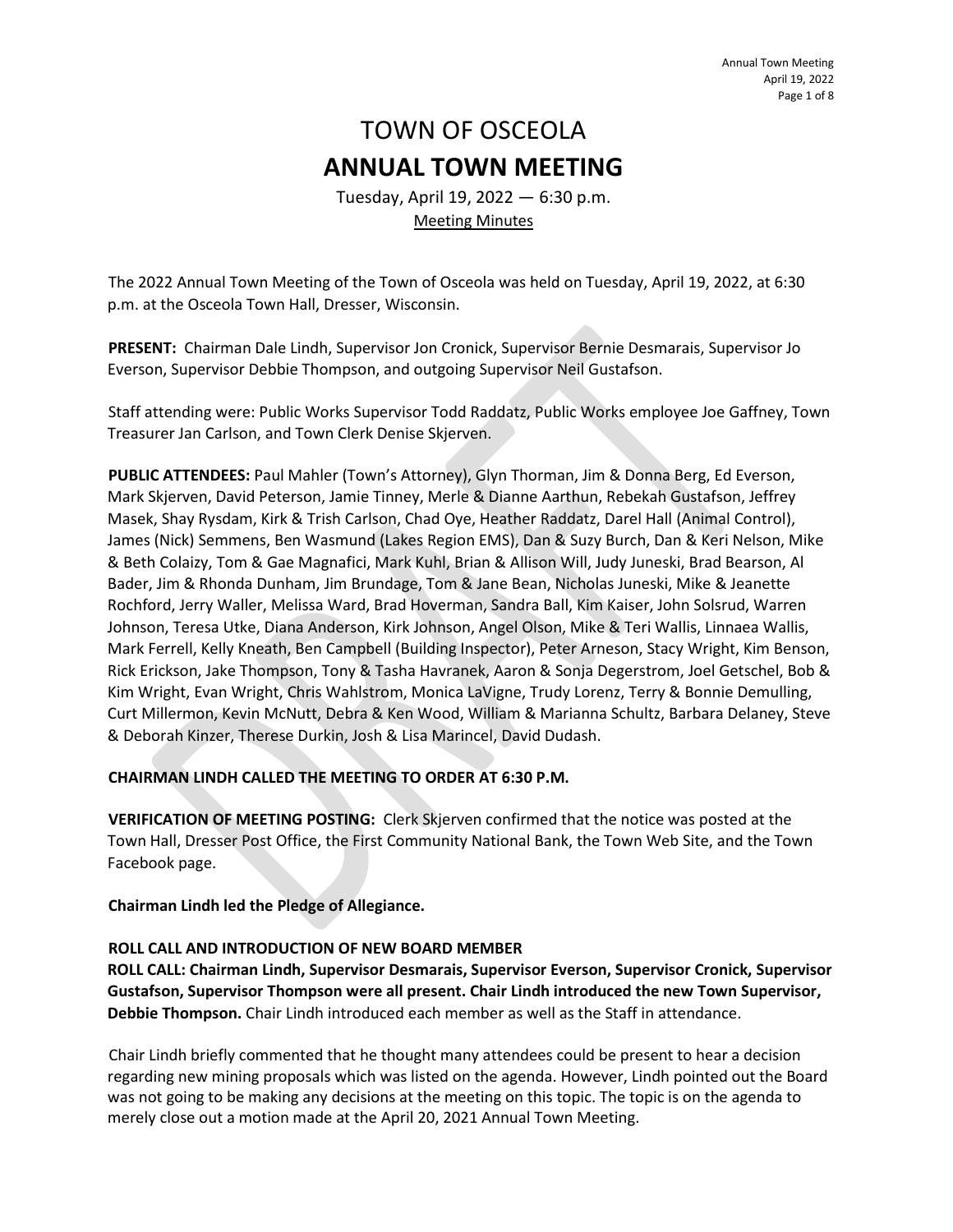# TOWN OF OSCEOLA **ANNUAL TOWN MEETING**

Tuesday, April 19, 2022 — 6:30 p.m. Meeting Minutes

The 2022 Annual Town Meeting of the Town of Osceola was held on Tuesday, April 19, 2022, at 6:30 p.m. at the Osceola Town Hall, Dresser, Wisconsin.

**PRESENT:** Chairman Dale Lindh, Supervisor Jon Cronick, Supervisor Bernie Desmarais, Supervisor Jo Everson, Supervisor Debbie Thompson, and outgoing Supervisor Neil Gustafson.

Staff attending were: Public Works Supervisor Todd Raddatz, Public Works employee Joe Gaffney, Town Treasurer Jan Carlson, and Town Clerk Denise Skjerven.

**PUBLIC ATTENDEES:** Paul Mahler (Town's Attorney), Glyn Thorman, Jim & Donna Berg, Ed Everson, Mark Skjerven, David Peterson, Jamie Tinney, Merle & Dianne Aarthun, Rebekah Gustafson, Jeffrey Masek, Shay Rysdam, Kirk & Trish Carlson, Chad Oye, Heather Raddatz, Darel Hall (Animal Control), James (Nick) Semmens, Ben Wasmund (Lakes Region EMS), Dan & Suzy Burch, Dan & Keri Nelson, Mike & Beth Colaizy, Tom & Gae Magnafici, Mark Kuhl, Brian & Allison Will, Judy Juneski, Brad Bearson, Al Bader, Jim & Rhonda Dunham, Jim Brundage, Tom & Jane Bean, Nicholas Juneski, Mike & Jeanette Rochford, Jerry Waller, Melissa Ward, Brad Hoverman, Sandra Ball, Kim Kaiser, John Solsrud, Warren Johnson, Teresa Utke, Diana Anderson, Kirk Johnson, Angel Olson, Mike & Teri Wallis, Linnaea Wallis, Mark Ferrell, Kelly Kneath, Ben Campbell (Building Inspector), Peter Arneson, Stacy Wright, Kim Benson, Rick Erickson, Jake Thompson, Tony & Tasha Havranek, Aaron & Sonja Degerstrom, Joel Getschel, Bob & Kim Wright, Evan Wright, Chris Wahlstrom, Monica LaVigne, Trudy Lorenz, Terry & Bonnie Demulling, Curt Millermon, Kevin McNutt, Debra & Ken Wood, William & Marianna Schultz, Barbara Delaney, Steve & Deborah Kinzer, Therese Durkin, Josh & Lisa Marincel, David Dudash.

# **CHAIRMAN LINDH CALLED THE MEETING TO ORDER AT 6:30 P.M.**

**VERIFICATION OF MEETING POSTING:** Clerk Skjerven confirmed that the notice was posted at the Town Hall, Dresser Post Office, the First Community National Bank, the Town Web Site, and the Town Facebook page.

**Chairman Lindh led the Pledge of Allegiance.**

# **ROLL CALL AND INTRODUCTION OF NEW BOARD MEMBER**

**ROLL CALL: Chairman Lindh, Supervisor Desmarais, Supervisor Everson, Supervisor Cronick, Supervisor Gustafson, Supervisor Thompson were all present. Chair Lindh introduced the new Town Supervisor, Debbie Thompson.** Chair Lindh introduced each member as well as the Staff in attendance.

Chair Lindh briefly commented that he thought many attendees could be present to hear a decision regarding new mining proposals which was listed on the agenda. However, Lindh pointed out the Board was not going to be making any decisions at the meeting on this topic. The topic is on the agenda to merely close out a motion made at the April 20, 2021 Annual Town Meeting.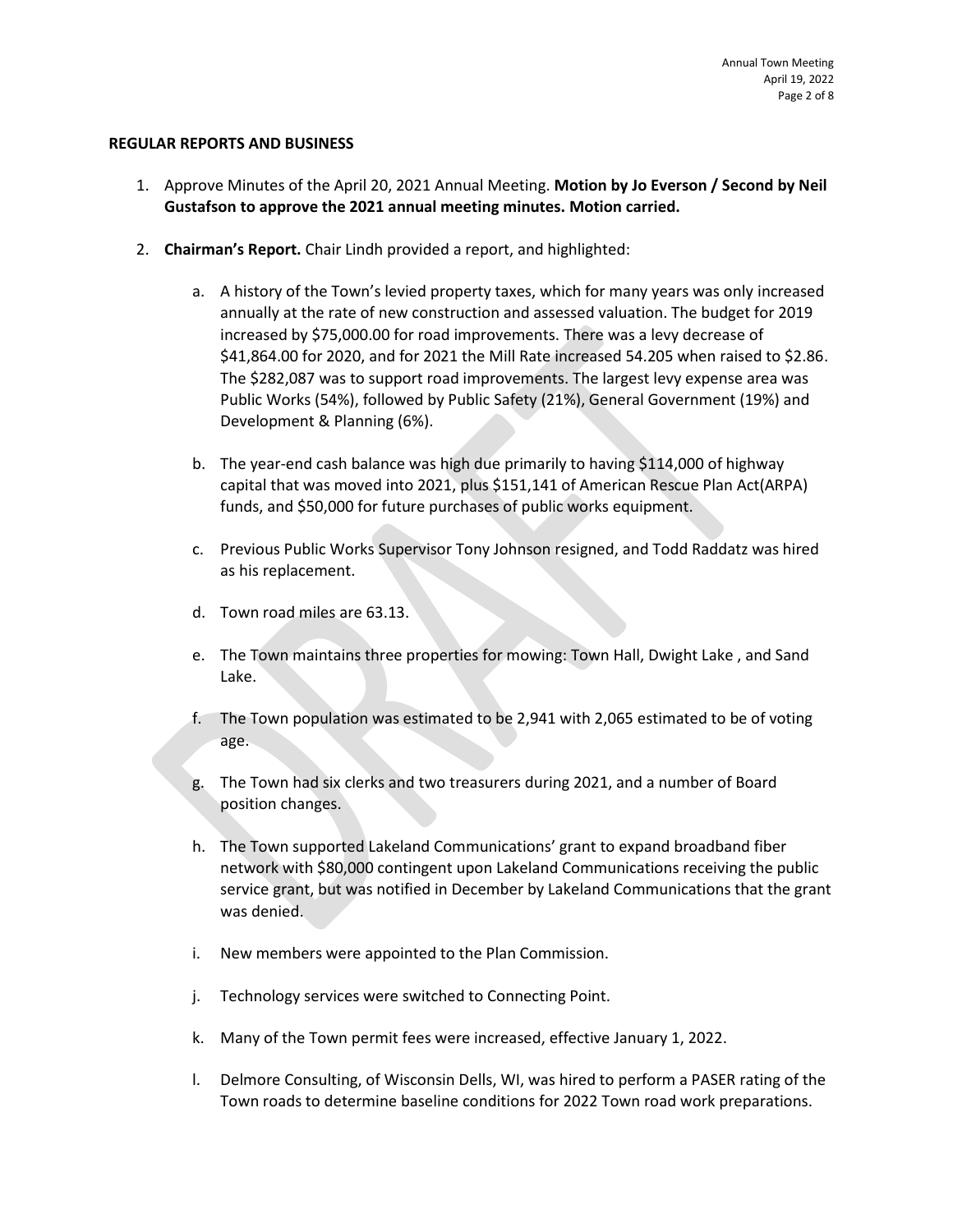#### **REGULAR REPORTS AND BUSINESS**

- 1. Approve Minutes of the April 20, 2021 Annual Meeting. **Motion by Jo Everson / Second by Neil Gustafson to approve the 2021 annual meeting minutes. Motion carried.**
- 2. **Chairman's Report.** Chair Lindh provided a report, and highlighted:
	- a. A history of the Town's levied property taxes, which for many years was only increased annually at the rate of new construction and assessed valuation. The budget for 2019 increased by \$75,000.00 for road improvements. There was a levy decrease of \$41,864.00 for 2020, and for 2021 the Mill Rate increased 54.205 when raised to \$2.86. The \$282,087 was to support road improvements. The largest levy expense area was Public Works (54%), followed by Public Safety (21%), General Government (19%) and Development & Planning (6%).
	- b. The year-end cash balance was high due primarily to having \$114,000 of highway capital that was moved into 2021, plus \$151,141 of American Rescue Plan Act(ARPA) funds, and \$50,000 for future purchases of public works equipment.
	- c. Previous Public Works Supervisor Tony Johnson resigned, and Todd Raddatz was hired as his replacement.
	- d. Town road miles are 63.13.
	- e. The Town maintains three properties for mowing: Town Hall, Dwight Lake , and Sand Lake.
	- f. The Town population was estimated to be 2,941 with 2,065 estimated to be of voting age.
	- g. The Town had six clerks and two treasurers during 2021, and a number of Board position changes.
	- h. The Town supported Lakeland Communications' grant to expand broadband fiber network with \$80,000 contingent upon Lakeland Communications receiving the public service grant, but was notified in December by Lakeland Communications that the grant was denied.
	- i. New members were appointed to the Plan Commission.
	- j. Technology services were switched to Connecting Point.
	- k. Many of the Town permit fees were increased, effective January 1, 2022.
	- l. Delmore Consulting, of Wisconsin Dells, WI, was hired to perform a PASER rating of the Town roads to determine baseline conditions for 2022 Town road work preparations.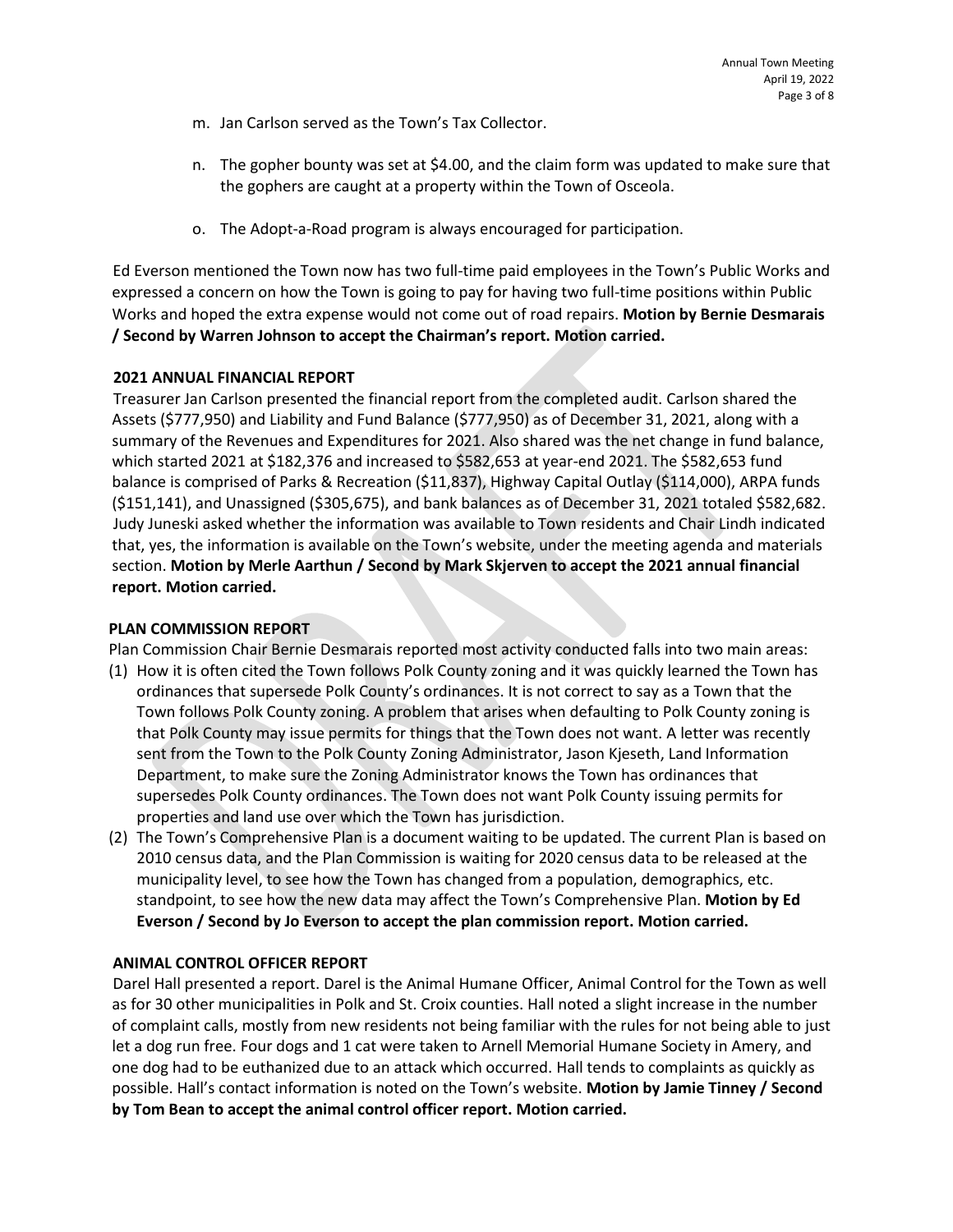- m. Jan Carlson served as the Town's Tax Collector.
- n. The gopher bounty was set at \$4.00, and the claim form was updated to make sure that the gophers are caught at a property within the Town of Osceola.
- o. The Adopt-a-Road program is always encouraged for participation.

Ed Everson mentioned the Town now has two full-time paid employees in the Town's Public Works and expressed a concern on how the Town is going to pay for having two full-time positions within Public Works and hoped the extra expense would not come out of road repairs. **Motion by Bernie Desmarais / Second by Warren Johnson to accept the Chairman's report. Motion carried.**

## **2021 ANNUAL FINANCIAL REPORT**

Treasurer Jan Carlson presented the financial report from the completed audit. Carlson shared the Assets (\$777,950) and Liability and Fund Balance (\$777,950) as of December 31, 2021, along with a summary of the Revenues and Expenditures for 2021. Also shared was the net change in fund balance, which started 2021 at \$182,376 and increased to \$582,653 at year-end 2021. The \$582,653 fund balance is comprised of Parks & Recreation (\$11,837), Highway Capital Outlay (\$114,000), ARPA funds (\$151,141), and Unassigned (\$305,675), and bank balances as of December 31, 2021 totaled \$582,682. Judy Juneski asked whether the information was available to Town residents and Chair Lindh indicated that, yes, the information is available on the Town's website, under the meeting agenda and materials section. **Motion by Merle Aarthun / Second by Mark Skjerven to accept the 2021 annual financial report. Motion carried.**

## **PLAN COMMISSION REPORT**

Plan Commission Chair Bernie Desmarais reported most activity conducted falls into two main areas:

- (1) How it is often cited the Town follows Polk County zoning and it was quickly learned the Town has ordinances that supersede Polk County's ordinances. It is not correct to say as a Town that the Town follows Polk County zoning. A problem that arises when defaulting to Polk County zoning is that Polk County may issue permits for things that the Town does not want. A letter was recently sent from the Town to the Polk County Zoning Administrator, Jason Kjeseth, Land Information Department, to make sure the Zoning Administrator knows the Town has ordinances that supersedes Polk County ordinances. The Town does not want Polk County issuing permits for properties and land use over which the Town has jurisdiction.
- (2) The Town's Comprehensive Plan is a document waiting to be updated. The current Plan is based on 2010 census data, and the Plan Commission is waiting for 2020 census data to be released at the municipality level, to see how the Town has changed from a population, demographics, etc. standpoint, to see how the new data may affect the Town's Comprehensive Plan. **Motion by Ed Everson / Second by Jo Everson to accept the plan commission report. Motion carried.**

# **ANIMAL CONTROL OFFICER REPORT**

Darel Hall presented a report. Darel is the Animal Humane Officer, Animal Control for the Town as well as for 30 other municipalities in Polk and St. Croix counties. Hall noted a slight increase in the number of complaint calls, mostly from new residents not being familiar with the rules for not being able to just let a dog run free. Four dogs and 1 cat were taken to Arnell Memorial Humane Society in Amery, and one dog had to be euthanized due to an attack which occurred. Hall tends to complaints as quickly as possible. Hall's contact information is noted on the Town's website. **Motion by Jamie Tinney / Second by Tom Bean to accept the animal control officer report. Motion carried.**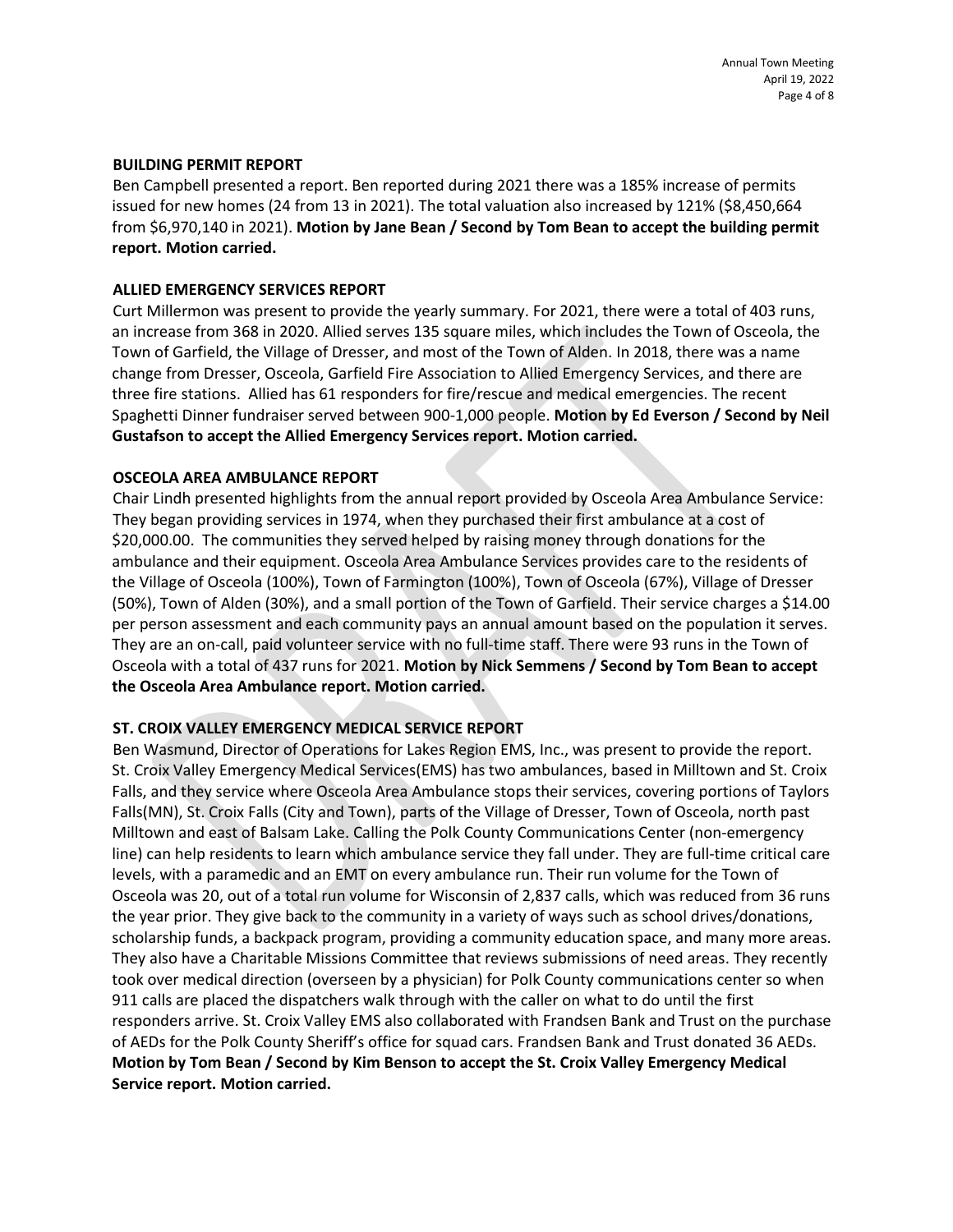#### **BUILDING PERMIT REPORT**

Ben Campbell presented a report. Ben reported during 2021 there was a 185% increase of permits issued for new homes (24 from 13 in 2021). The total valuation also increased by 121% (\$8,450,664 from \$6,970,140 in 2021). **Motion by Jane Bean / Second by Tom Bean to accept the building permit report. Motion carried.**

#### **ALLIED EMERGENCY SERVICES REPORT**

Curt Millermon was present to provide the yearly summary. For 2021, there were a total of 403 runs, an increase from 368 in 2020. Allied serves 135 square miles, which includes the Town of Osceola, the Town of Garfield, the Village of Dresser, and most of the Town of Alden. In 2018, there was a name change from Dresser, Osceola, Garfield Fire Association to Allied Emergency Services, and there are three fire stations. Allied has 61 responders for fire/rescue and medical emergencies. The recent Spaghetti Dinner fundraiser served between 900-1,000 people. **Motion by Ed Everson / Second by Neil Gustafson to accept the Allied Emergency Services report. Motion carried.**

#### **OSCEOLA AREA AMBULANCE REPORT**

Chair Lindh presented highlights from the annual report provided by Osceola Area Ambulance Service: They began providing services in 1974, when they purchased their first ambulance at a cost of \$20,000.00. The communities they served helped by raising money through donations for the ambulance and their equipment. Osceola Area Ambulance Services provides care to the residents of the Village of Osceola (100%), Town of Farmington (100%), Town of Osceola (67%), Village of Dresser (50%), Town of Alden (30%), and a small portion of the Town of Garfield. Their service charges a \$14.00 per person assessment and each community pays an annual amount based on the population it serves. They are an on-call, paid volunteer service with no full-time staff. There were 93 runs in the Town of Osceola with a total of 437 runs for 2021. **Motion by Nick Semmens / Second by Tom Bean to accept the Osceola Area Ambulance report. Motion carried.**

## **ST. CROIX VALLEY EMERGENCY MEDICAL SERVICE REPORT**

Ben Wasmund, Director of Operations for Lakes Region EMS, Inc., was present to provide the report. St. Croix Valley Emergency Medical Services(EMS) has two ambulances, based in Milltown and St. Croix Falls, and they service where Osceola Area Ambulance stops their services, covering portions of Taylors Falls(MN), St. Croix Falls (City and Town), parts of the Village of Dresser, Town of Osceola, north past Milltown and east of Balsam Lake. Calling the Polk County Communications Center (non-emergency line) can help residents to learn which ambulance service they fall under. They are full-time critical care levels, with a paramedic and an EMT on every ambulance run. Their run volume for the Town of Osceola was 20, out of a total run volume for Wisconsin of 2,837 calls, which was reduced from 36 runs the year prior. They give back to the community in a variety of ways such as school drives/donations, scholarship funds, a backpack program, providing a community education space, and many more areas. They also have a Charitable Missions Committee that reviews submissions of need areas. They recently took over medical direction (overseen by a physician) for Polk County communications center so when 911 calls are placed the dispatchers walk through with the caller on what to do until the first responders arrive. St. Croix Valley EMS also collaborated with Frandsen Bank and Trust on the purchase of AEDs for the Polk County Sheriff's office for squad cars. Frandsen Bank and Trust donated 36 AEDs. **Motion by Tom Bean / Second by Kim Benson to accept the St. Croix Valley Emergency Medical Service report. Motion carried.**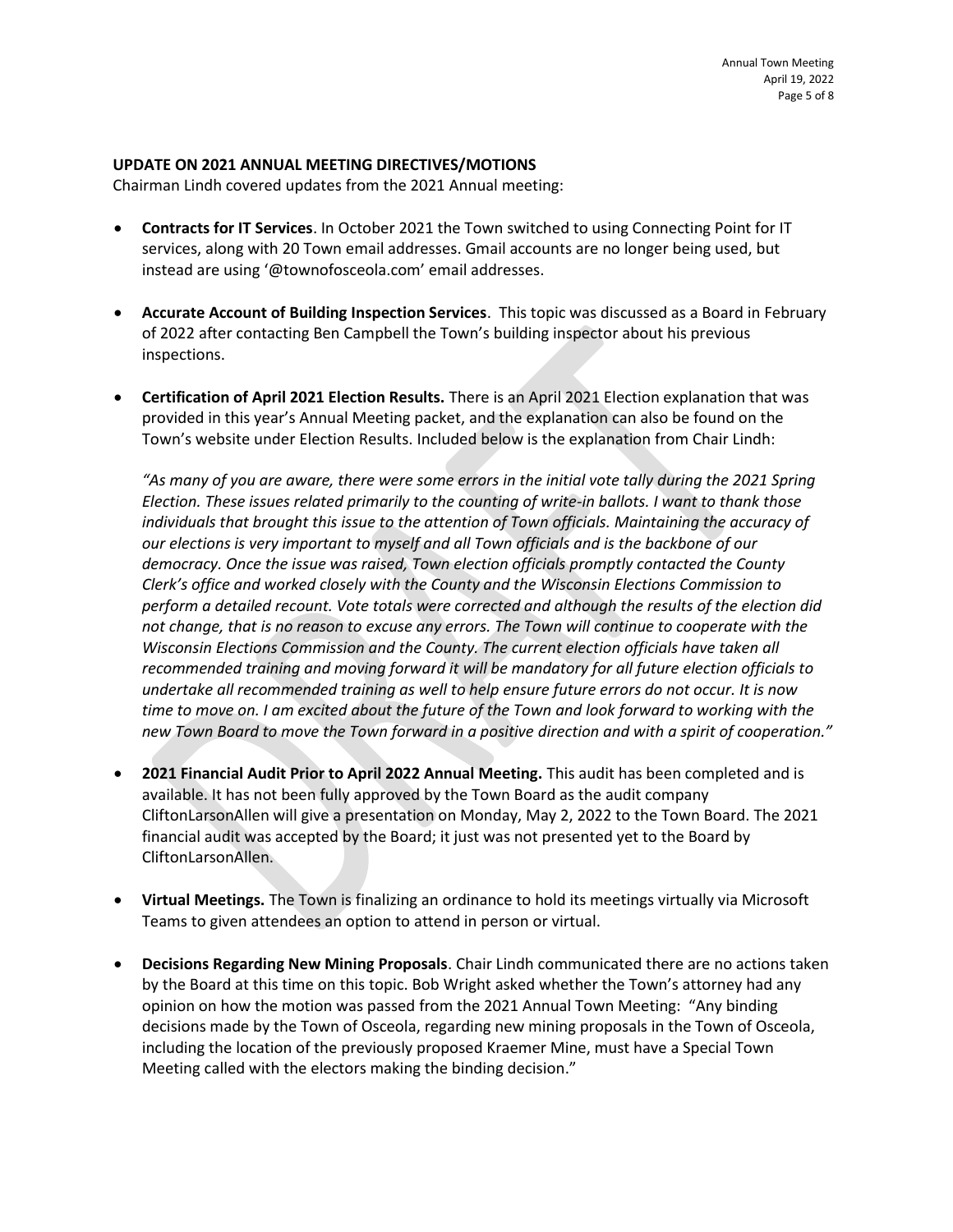### **UPDATE ON 2021 ANNUAL MEETING DIRECTIVES/MOTIONS**

Chairman Lindh covered updates from the 2021 Annual meeting:

- **Contracts for IT Services**. In October 2021 the Town switched to using Connecting Point for IT services, along with 20 Town email addresses. Gmail accounts are no longer being used, but instead are using '@townofosceola.com' email addresses.
- **Accurate Account of Building Inspection Services**. This topic was discussed as a Board in February of 2022 after contacting Ben Campbell the Town's building inspector about his previous inspections.
- **Certification of April 2021 Election Results.** There is an April 2021 Election explanation that was provided in this year's Annual Meeting packet, and the explanation can also be found on the Town's website under Election Results. Included below is the explanation from Chair Lindh:

*"As many of you are aware, there were some errors in the initial vote tally during the 2021 Spring Election. These issues related primarily to the counting of write-in ballots. I want to thank those individuals that brought this issue to the attention of Town officials. Maintaining the accuracy of our elections is very important to myself and all Town officials and is the backbone of our democracy. Once the issue was raised, Town election officials promptly contacted the County Clerk's office and worked closely with the County and the Wisconsin Elections Commission to perform a detailed recount. Vote totals were corrected and although the results of the election did not change, that is no reason to excuse any errors. The Town will continue to cooperate with the Wisconsin Elections Commission and the County. The current election officials have taken all recommended training and moving forward it will be mandatory for all future election officials to undertake all recommended training as well to help ensure future errors do not occur. It is now time to move on. I am excited about the future of the Town and look forward to working with the new Town Board to move the Town forward in a positive direction and with a spirit of cooperation."*

- **2021 Financial Audit Prior to April 2022 Annual Meeting.** This audit has been completed and is available. It has not been fully approved by the Town Board as the audit company CliftonLarsonAllen will give a presentation on Monday, May 2, 2022 to the Town Board. The 2021 financial audit was accepted by the Board; it just was not presented yet to the Board by CliftonLarsonAllen.
- **Virtual Meetings.** The Town is finalizing an ordinance to hold its meetings virtually via Microsoft Teams to given attendees an option to attend in person or virtual.
- **Decisions Regarding New Mining Proposals**. Chair Lindh communicated there are no actions taken by the Board at this time on this topic. Bob Wright asked whether the Town's attorney had any opinion on how the motion was passed from the 2021 Annual Town Meeting: "Any binding decisions made by the Town of Osceola, regarding new mining proposals in the Town of Osceola, including the location of the previously proposed Kraemer Mine, must have a Special Town Meeting called with the electors making the binding decision."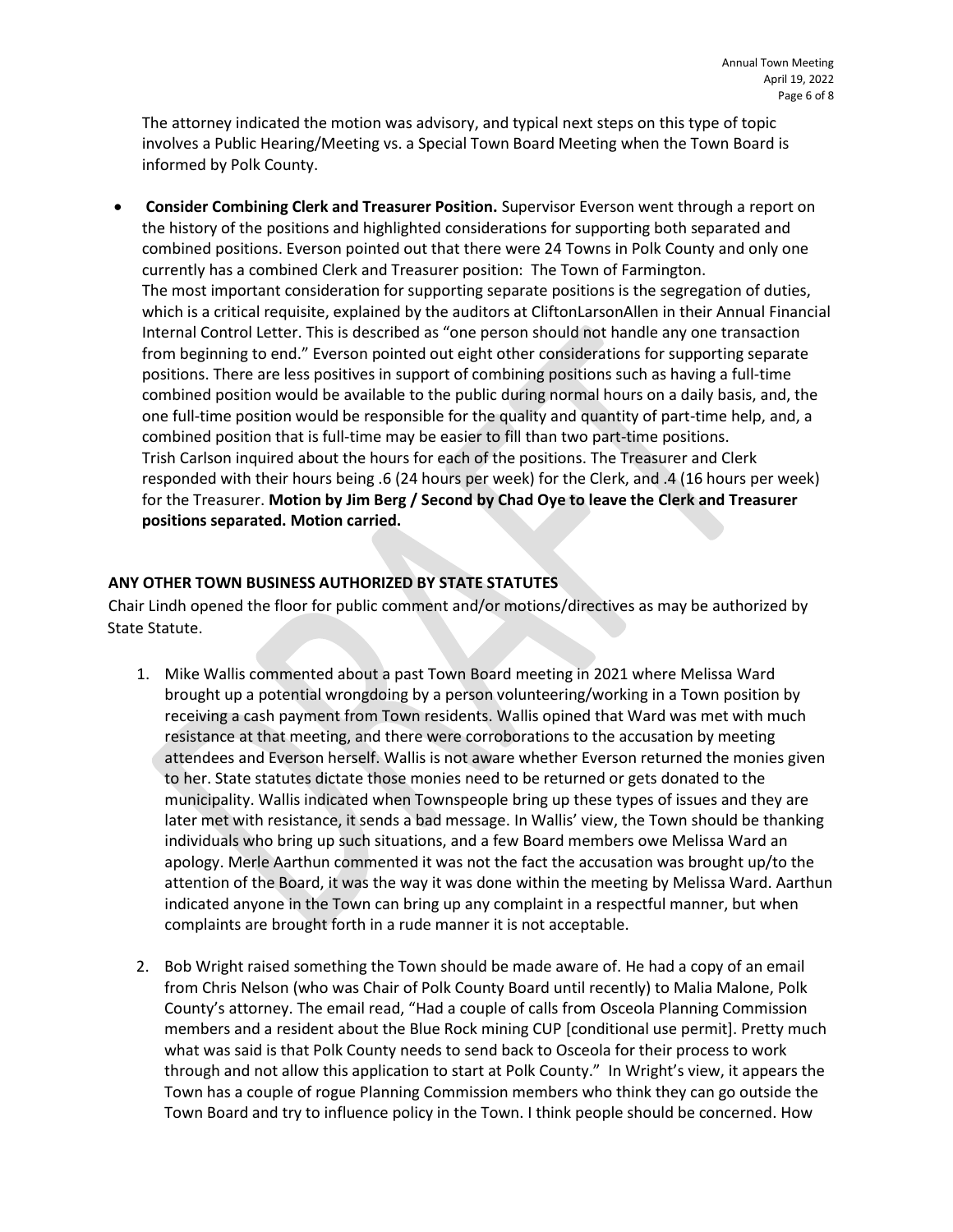The attorney indicated the motion was advisory, and typical next steps on this type of topic involves a Public Hearing/Meeting vs. a Special Town Board Meeting when the Town Board is informed by Polk County.

• **Consider Combining Clerk and Treasurer Position.** Supervisor Everson went through a report on the history of the positions and highlighted considerations for supporting both separated and combined positions. Everson pointed out that there were 24 Towns in Polk County and only one currently has a combined Clerk and Treasurer position: The Town of Farmington. The most important consideration for supporting separate positions is the segregation of duties, which is a critical requisite, explained by the auditors at CliftonLarsonAllen in their Annual Financial Internal Control Letter. This is described as "one person should not handle any one transaction from beginning to end." Everson pointed out eight other considerations for supporting separate positions. There are less positives in support of combining positions such as having a full-time combined position would be available to the public during normal hours on a daily basis, and, the one full-time position would be responsible for the quality and quantity of part-time help, and, a combined position that is full-time may be easier to fill than two part-time positions. Trish Carlson inquired about the hours for each of the positions. The Treasurer and Clerk responded with their hours being .6 (24 hours per week) for the Clerk, and .4 (16 hours per week) for the Treasurer. **Motion by Jim Berg / Second by Chad Oye to leave the Clerk and Treasurer positions separated. Motion carried.**

## **ANY OTHER TOWN BUSINESS AUTHORIZED BY STATE STATUTES**

Chair Lindh opened the floor for public comment and/or motions/directives as may be authorized by State Statute.

- 1. Mike Wallis commented about a past Town Board meeting in 2021 where Melissa Ward brought up a potential wrongdoing by a person volunteering/working in a Town position by receiving a cash payment from Town residents. Wallis opined that Ward was met with much resistance at that meeting, and there were corroborations to the accusation by meeting attendees and Everson herself. Wallis is not aware whether Everson returned the monies given to her. State statutes dictate those monies need to be returned or gets donated to the municipality. Wallis indicated when Townspeople bring up these types of issues and they are later met with resistance, it sends a bad message. In Wallis' view, the Town should be thanking individuals who bring up such situations, and a few Board members owe Melissa Ward an apology. Merle Aarthun commented it was not the fact the accusation was brought up/to the attention of the Board, it was the way it was done within the meeting by Melissa Ward. Aarthun indicated anyone in the Town can bring up any complaint in a respectful manner, but when complaints are brought forth in a rude manner it is not acceptable.
- 2. Bob Wright raised something the Town should be made aware of. He had a copy of an email from Chris Nelson (who was Chair of Polk County Board until recently) to Malia Malone, Polk County's attorney. The email read, "Had a couple of calls from Osceola Planning Commission members and a resident about the Blue Rock mining CUP [conditional use permit]. Pretty much what was said is that Polk County needs to send back to Osceola for their process to work through and not allow this application to start at Polk County." In Wright's view, it appears the Town has a couple of rogue Planning Commission members who think they can go outside the Town Board and try to influence policy in the Town. I think people should be concerned. How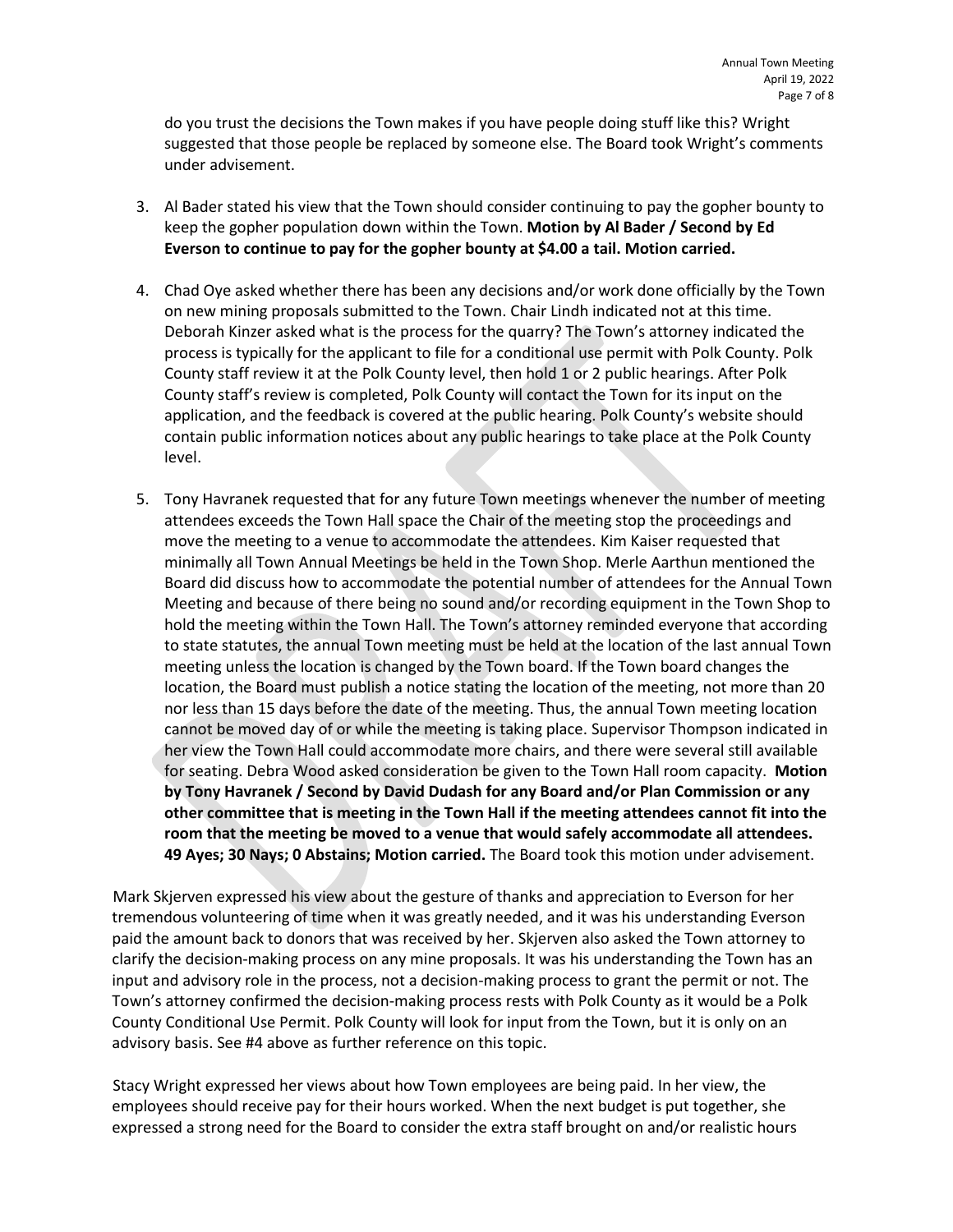do you trust the decisions the Town makes if you have people doing stuff like this? Wright suggested that those people be replaced by someone else. The Board took Wright's comments under advisement.

- 3. Al Bader stated his view that the Town should consider continuing to pay the gopher bounty to keep the gopher population down within the Town. **Motion by Al Bader / Second by Ed Everson to continue to pay for the gopher bounty at \$4.00 a tail. Motion carried.**
- 4. Chad Oye asked whether there has been any decisions and/or work done officially by the Town on new mining proposals submitted to the Town. Chair Lindh indicated not at this time. Deborah Kinzer asked what is the process for the quarry? The Town's attorney indicated the process is typically for the applicant to file for a conditional use permit with Polk County. Polk County staff review it at the Polk County level, then hold 1 or 2 public hearings. After Polk County staff's review is completed, Polk County will contact the Town for its input on the application, and the feedback is covered at the public hearing. Polk County's website should contain public information notices about any public hearings to take place at the Polk County level.
- 5. Tony Havranek requested that for any future Town meetings whenever the number of meeting attendees exceeds the Town Hall space the Chair of the meeting stop the proceedings and move the meeting to a venue to accommodate the attendees. Kim Kaiser requested that minimally all Town Annual Meetings be held in the Town Shop. Merle Aarthun mentioned the Board did discuss how to accommodate the potential number of attendees for the Annual Town Meeting and because of there being no sound and/or recording equipment in the Town Shop to hold the meeting within the Town Hall. The Town's attorney reminded everyone that according to state statutes, the annual Town meeting must be held at the location of the last annual Town meeting unless the location is changed by the Town board. If the Town board changes the location, the Board must publish a notice stating the location of the meeting, not more than 20 nor less than 15 days before the date of the meeting. Thus, the annual Town meeting location cannot be moved day of or while the meeting is taking place. Supervisor Thompson indicated in her view the Town Hall could accommodate more chairs, and there were several still available for seating. Debra Wood asked consideration be given to the Town Hall room capacity. **Motion by Tony Havranek / Second by David Dudash for any Board and/or Plan Commission or any other committee that is meeting in the Town Hall if the meeting attendees cannot fit into the room that the meeting be moved to a venue that would safely accommodate all attendees. 49 Ayes; 30 Nays; 0 Abstains; Motion carried.** The Board took this motion under advisement.

Mark Skjerven expressed his view about the gesture of thanks and appreciation to Everson for her tremendous volunteering of time when it was greatly needed, and it was his understanding Everson paid the amount back to donors that was received by her. Skjerven also asked the Town attorney to clarify the decision-making process on any mine proposals. It was his understanding the Town has an input and advisory role in the process, not a decision-making process to grant the permit or not. The Town's attorney confirmed the decision-making process rests with Polk County as it would be a Polk County Conditional Use Permit. Polk County will look for input from the Town, but it is only on an advisory basis. See #4 above as further reference on this topic.

Stacy Wright expressed her views about how Town employees are being paid. In her view, the employees should receive pay for their hours worked. When the next budget is put together, she expressed a strong need for the Board to consider the extra staff brought on and/or realistic hours